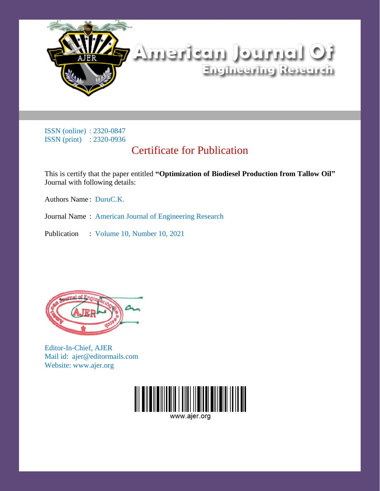

ISSN (online) : 2320-0847 ISSN (print) : 2320-0936

#### Certificate for Publication

This is certify that the paper entitled **"Optimization of Biodiesel Production from Tallow Oil"** Journal with following details:

Authors Name : DuruC.K.

Journal Name : American Journal of Engineering Research

Publication : Volume 10, Number 10, 2021



Editor-In-Chief, AJER Mail id: ajer@editormails.com Website: www.ajer.org

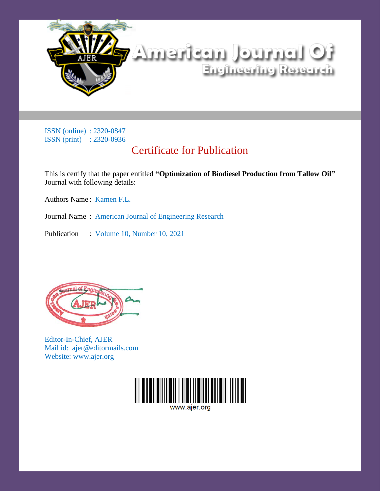

ISSN (online) : 2320-0847 ISSN (print) : 2320-0936

### Certificate for Publication

This is certify that the paper entitled **"Optimization of Biodiesel Production from Tallow Oil"** Journal with following details:

Authors Name: Kamen F.L.

Journal Name : American Journal of Engineering Research

Publication : Volume 10, Number 10, 2021



Editor-In-Chief, AJER Mail id: ajer@editormails.com Website: www.ajer.org

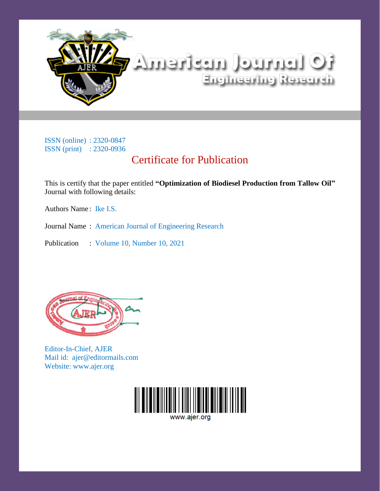

# tO listriucl titsbrettik Engineering Research

ISSN (online) : 2320-0847 ISSN (print) : 2320-0936

## Certificate for Publication

This is certify that the paper entitled **"Optimization of Biodiesel Production from Tallow Oil"** Journal with following details:

Authors Name: Ike I.S.

Journal Name : American Journal of Engineering Research

Publication : Volume 10, Number 10, 2021



Editor-In-Chief, AJER Mail id: ajer@editormails.com Website: www.ajer.org